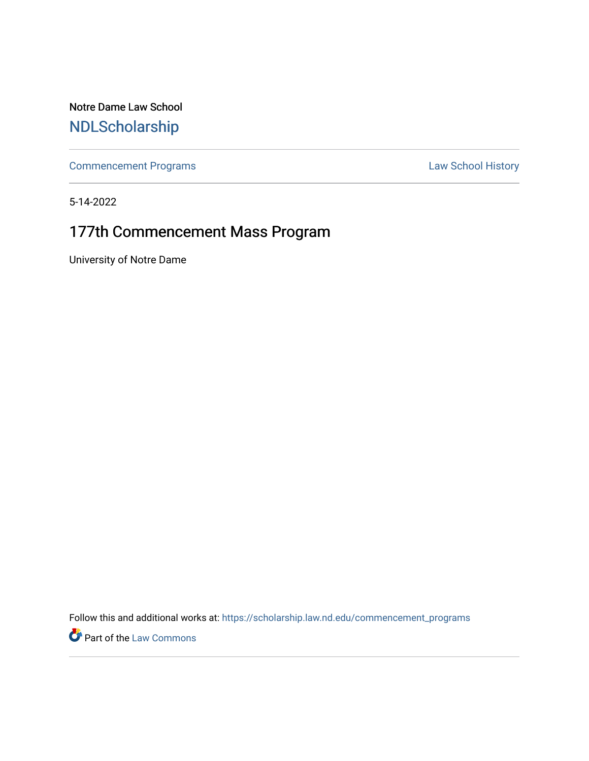Notre Dame Law School [NDLScholarship](https://scholarship.law.nd.edu/)

[Commencement Programs](https://scholarship.law.nd.edu/commencement_programs) **Law School History** 

5-14-2022

# 177th Commencement Mass Program

University of Notre Dame

Follow this and additional works at: [https://scholarship.law.nd.edu/commencement\\_programs](https://scholarship.law.nd.edu/commencement_programs?utm_source=scholarship.law.nd.edu%2Fcommencement_programs%2F193&utm_medium=PDF&utm_campaign=PDFCoverPages)

Part of the [Law Commons](https://network.bepress.com/hgg/discipline/578?utm_source=scholarship.law.nd.edu%2Fcommencement_programs%2F193&utm_medium=PDF&utm_campaign=PDFCoverPages)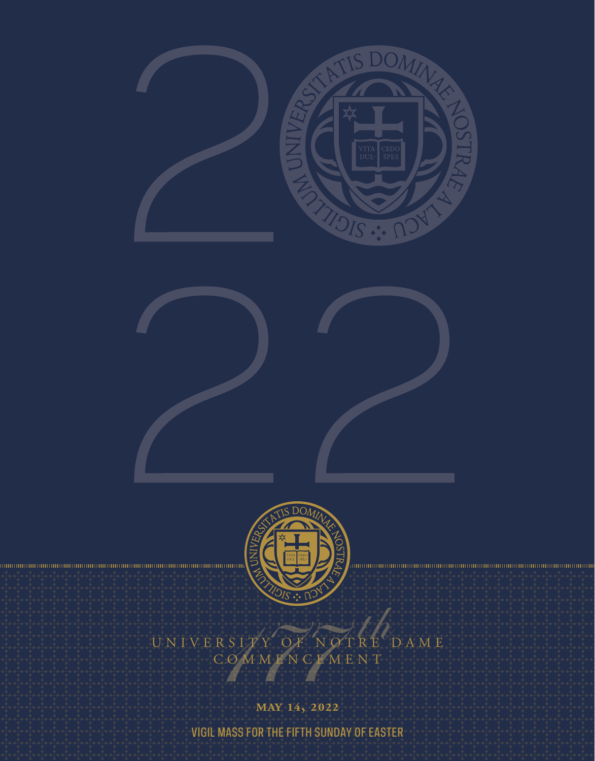



# $\mathcal{L}_{\text{D AM E}}$ UNIVERSITY OF NOTRE

MAY 14, 2022

**VIGIL MASS FOR THE FIFTH SUNDAY OF EASTER**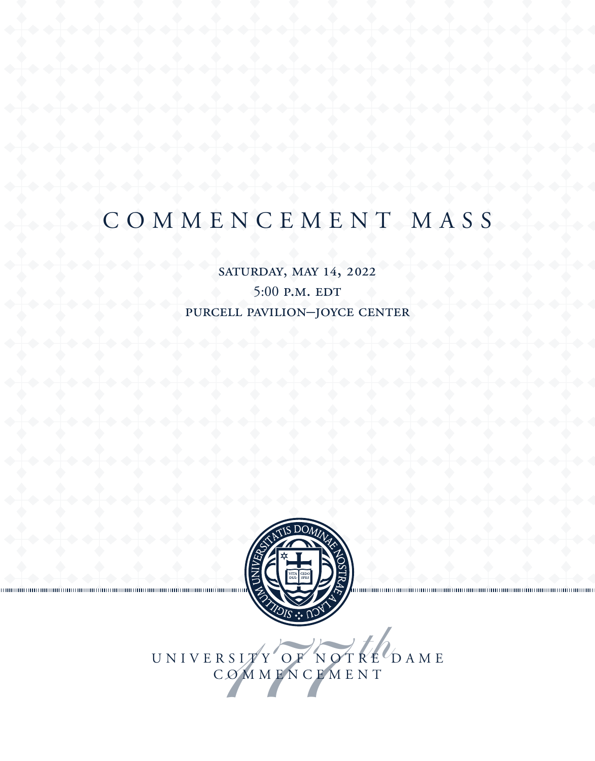# SATURDAY, MAY 14, 2022 5:00 P.M. EDT PURCELL PAVILION-JOYCE CENTER



UNIVERSITY OF NOTRE DAME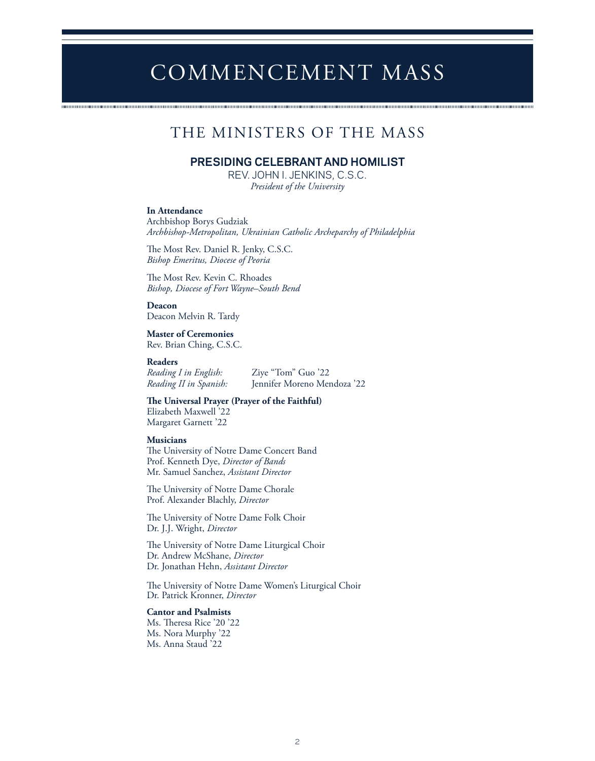# THE MINISTERS OF THE MASS

# **PRESIDING CELEBRANT AND HOMILIST**

REV. JOHN I. JENKINS, C.S.C. *President of the University*

### **In Attendance**

Archbishop Borys Gudziak *Archbishop-Metropolitan, Ukrainian Catholic Archeparchy of Philadelphia* 

The Most Rev. Daniel R. Jenky, C.S.C. *Bishop Emeritus, Diocese of Peoria*

The Most Rev. Kevin C. Rhoades *Bishop, Diocese of Fort Wayne–South Bend*

**Deacon** Deacon Melvin R. Tardy

**Master of Ceremonies** Rev. Brian Ching, C.S.C.

### **Readers**

*Reading I in English:* Ziye "Tom" Guo '22

Jennifer Moreno Mendoza '22 **The Universal Prayer (Prayer of the Faithful)** Elizabeth Maxwell '22

Margaret Garnett '22

### **Musicians**

The University of Notre Dame Concert Band Prof. Kenneth Dye, *Director of Bands* Mr. Samuel Sanchez, *Assistant Director*

The University of Notre Dame Chorale Prof. Alexander Blachly, *Director*

The University of Notre Dame Folk Choir Dr. J.J. Wright, *Director*

The University of Notre Dame Liturgical Choir Dr. Andrew McShane, *Director* Dr. Jonathan Hehn, *Assistant Director*

The University of Notre Dame Women's Liturgical Choir Dr. Patrick Kronner, *Director*

### **Cantor and Psalmists**

Ms. Theresa Rice '20 '22 Ms. Nora Murphy '22 Ms. Anna Staud '22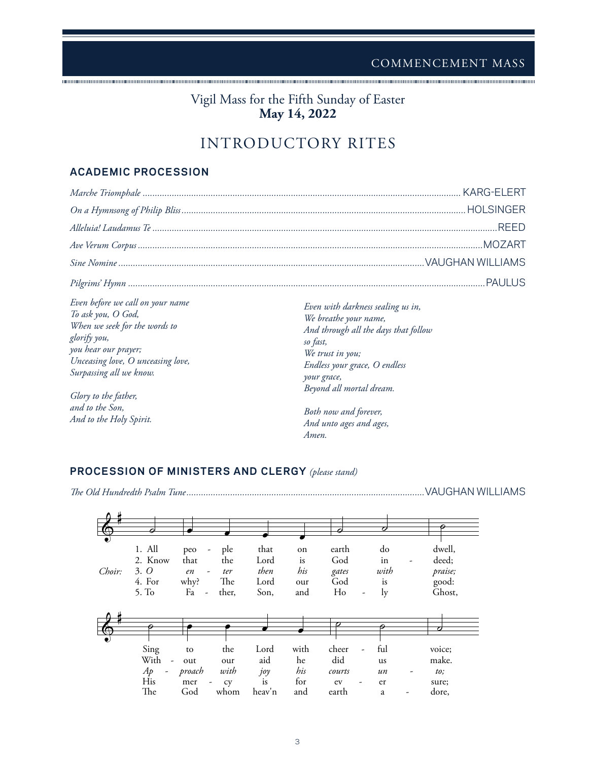# Vigil Mass for the Fifth Sunday of Easter **May 14, 2022**

# INTRODUCTORY RITES

# **ACADEMIC PROCESSION**

|                                                                                                                                                                                                                         | .REED                                                                                                                                                                                                          |
|-------------------------------------------------------------------------------------------------------------------------------------------------------------------------------------------------------------------------|----------------------------------------------------------------------------------------------------------------------------------------------------------------------------------------------------------------|
|                                                                                                                                                                                                                         |                                                                                                                                                                                                                |
|                                                                                                                                                                                                                         |                                                                                                                                                                                                                |
|                                                                                                                                                                                                                         |                                                                                                                                                                                                                |
| Even before we call on your name<br>To ask you, O God,<br>When we seek for the words to<br>glorify you,<br>you hear our prayer;<br>Unceasing love, O unceasing love,<br>Surpassing all we know.<br>Glory to the father, | Even with darkness sealing us in,<br>We breathe your name,<br>And through all the days that follow<br>so fast,<br>We trust in you;<br>Endless your grace, O endless<br>your grace,<br>Beyond all mortal dream. |
| and to the Son,<br>And to the Holy Spirit.                                                                                                                                                                              | Both now and forever,<br>And unto good and good                                                                                                                                                                |

*And unto ages and ages,*

*Amen.*

# **PROCESSION OF MINISTERS AND CLERGY** *(please stand)*

*The Old Hundredth Psalm Tune..................................................................................................*VAUGHAN WILLIAMS

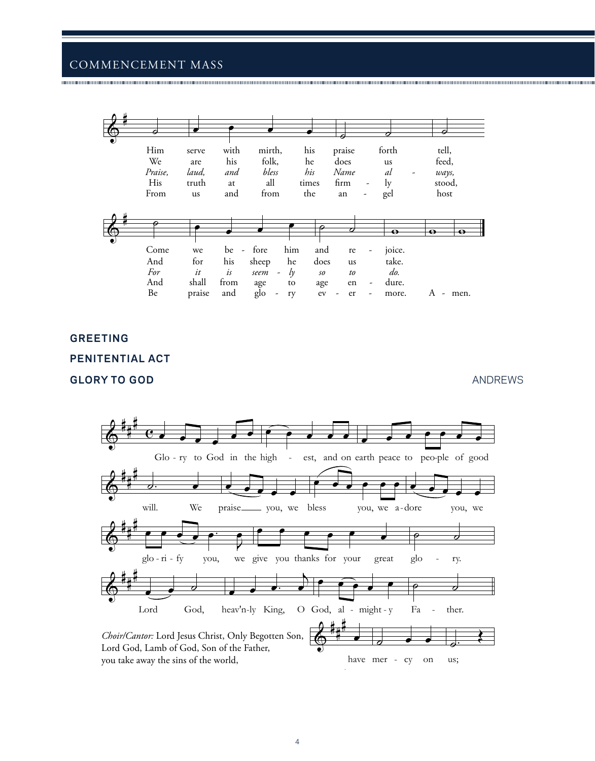

# **GREETING**

## PENITENTIAL ACT

# **GLORY TO GOD**

**ANDREWS** 

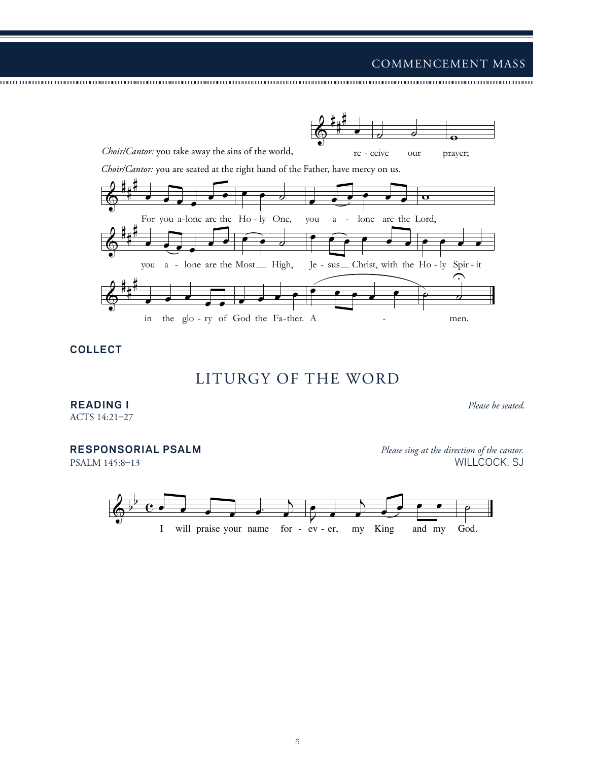# $\begin{array}{cc} \text{COMMENCEMEN} \end{array}$ COMMENCEMENT MASS

˙ ˙



<sup>œ</sup> <sup>œ</sup> œ. <sup>j</sup>

œ

œ œ œ œ œ

**COLLECT**

& # #

œ œ ˙

# LITURGY OF THE WORD

## **READING I** *Please be seated.*

ACTS 14:21–27

# **RESPONSORIAL PSALM** *Please sing at the direction of the cantor.*

PSALM 145:8–13 WILLCOCK, SJ

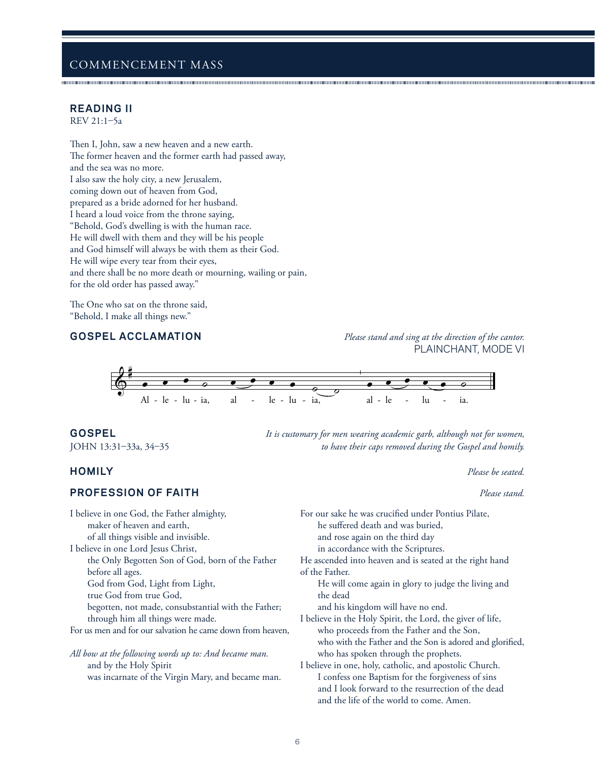# **READING II**

REV 21:1–5a

Then I, John, saw a new heaven and a new earth. The former heaven and the former earth had passed away, and the sea was no more. I also saw the holy city, a new Jerusalem, coming down out of heaven from God, prepared as a bride adorned for her husband. I heard a loud voice from the throne saying, "Behold, God's dwelling is with the human race. He will dwell with them and they will be his people and God himself will always be with them as their God. He will wipe every tear from their eyes, and there shall be no more death or mourning, wailing or pain, for the old order has passed away."

The One who sat on the throne said, "Behold, I make all things new."

**GOSPEL ACCLAMATION** *Please stand and sing at the direction of the cantor.* PLAINCHANT, MODE VI



**GOSPEL** *It is customary for men wearing academic garb, although not for women,*  JOHN 13:31–33a, 34–35 *to have their caps removed during the Gospel and homily.*

### **HOMILY** *Please be seated.*

## **PROFESSION OF FAITH** *Please stand.*

and by the Holy Spirit

I believe in one God, the Father almighty, maker of heaven and earth, of all things visible and invisible. I believe in one Lord Jesus Christ, the Only Begotten Son of God, born of the Father before all ages. God from God, Light from Light, true God from true God, begotten, not made, consubstantial with the Father; through him all things were made. For us men and for our salvation he came down from heaven, *All bow at the following words up to: And became man.*

was incarnate of the Virgin Mary, and became man. he suffered death and was buried, and rose again on the third day in accordance with the Scriptures. He ascended into heaven and is seated at the right hand of the Father. He will come again in glory to judge the living and the dead and his kingdom will have no end. I believe in the Holy Spirit, the Lord, the giver of life, who proceeds from the Father and the Son, who with the Father and the Son is adored and glorified, who has spoken through the prophets. I believe in one, holy, catholic, and apostolic Church. I confess one Baptism for the forgiveness of sins and I look forward to the resurrection of the dead and the life of the world to come. Amen.

For our sake he was crucified under Pontius Pilate,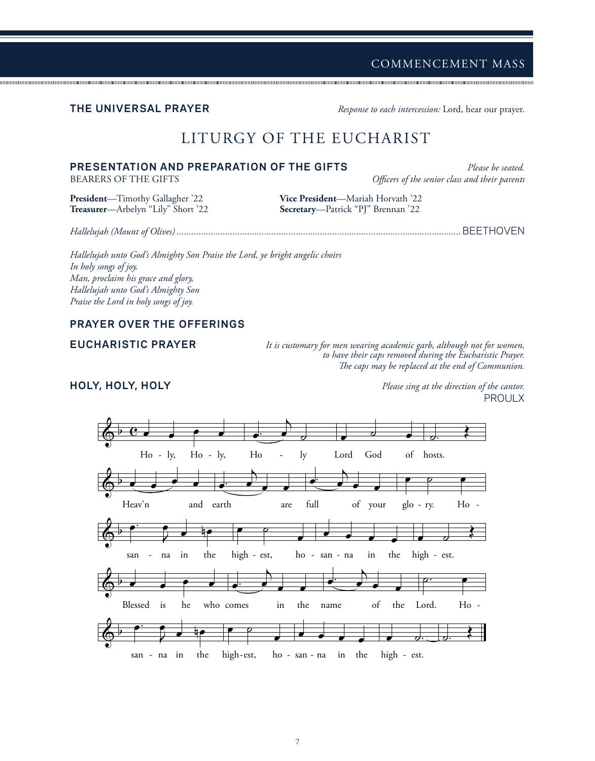**THE UNIVERSAL PRAYER** *Response to each intercession:* Lord, hear our prayer.

# LITURGY OF THE EUCHARIST

# **PRESENTATION AND PREPARATION OF THE GIFTS** *Please be seated.*

BEARERS OF THE GIFTS *Officers of the senior class and their parents*

**Treasurer**—Arbelyn "Lily" Short '22

**President**—Timothy Gallagher '22 **Vice President**—Mariah Horvath '22

*Hallelujah (Mount of Olives) .....................................................................................................................*BEETHOVEN

*Hallelujah unto God's Almighty Son Praise the Lord, ye bright angelic choirs In holy songs of joy. Man, proclaim his grace and glory, Hallelujah unto God's Almighty Son Praise the Lord in holy songs of joy.*

# **PRAYER OVER THE OFFERINGS**

**EUCHARISTIC PRAYER** *It is customary for men wearing academic garb, although not for women, to have their caps removed during the Eucharistic Prayer. The caps may be replaced at the end of Communion.* 

**HOLY, HOLY, HOLY** *Please sing at the direction of the cantor.* PROULX

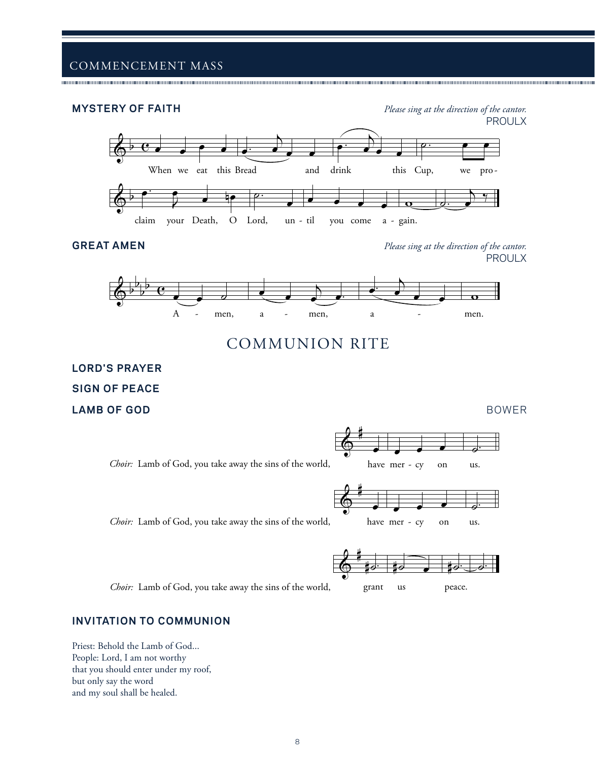**MYSTERY OF FAITH** *Please sing at the direction of the cantor.* PROULX



**GREAT AMEN** *Please sing at the direction of the cantor.* PROULX



# COMMUNION RITE

# **LORD'S PRAYER SIGN OF PEACE LAMB OF GOD** BOWER



*Choir:* Lamb of God, you take away the sins of the world,



# **INVITATION TO COMMUNION**

Priest: Behold the Lamb of God... People: Lord, I am not worthy that you should enter under my roof, but only say the word and my soul shall be healed.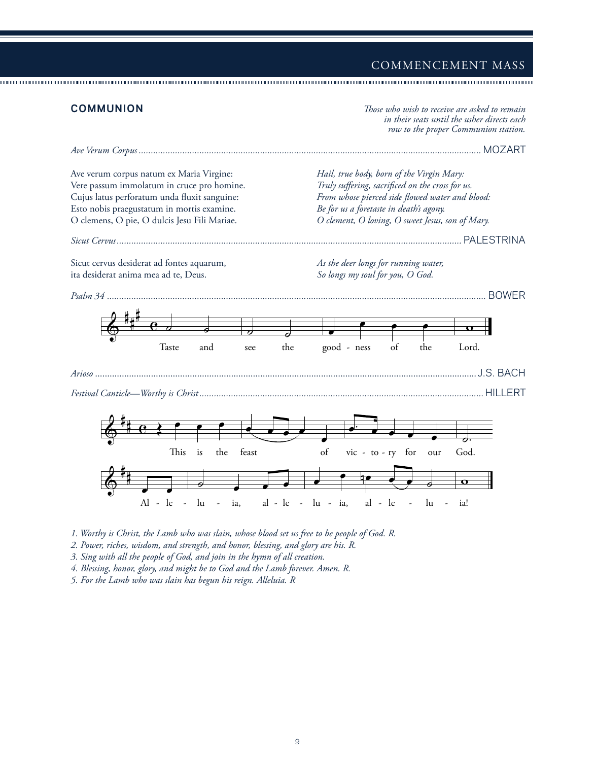

*1. Worthy is Christ, the Lamb who was slain, whose blood set us free to be people of God. R.* 

*2. Power, riches, wisdom, and strength, and honor, blessing, and glory are his. R.* 

*3. Sing with all the people of God, and join in the hymn of all creation.* 

*4. Blessing, honor, glory, and might be to God and the Lamb forever. Amen. R.* 

*5. For the Lamb who was slain has begun his reign. Alleluia. R*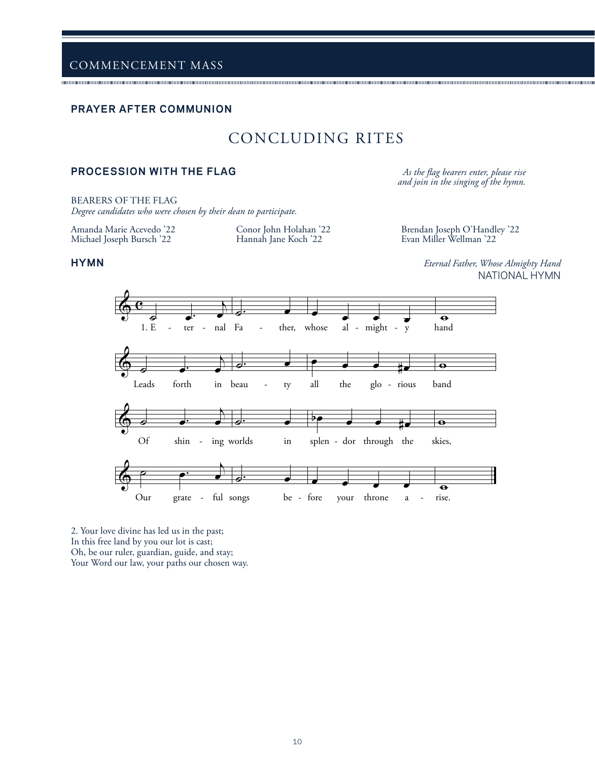### **PRAYER AFTER COMMUNION**

# CONCLUDING RITES

# **PROCESSION WITH THE FLAG** *As the flag bearers enter, please rise*

*and join in the singing of the hymn.*

BEARERS OF THE FLAG

*Degree candidates who were chosen by their dean to participate.*

Amanda Marie Acevedo '22 Michael Joseph Bursch '22

Conor John Holahan '22 Hannah Jane Koch '22

Brendan Joseph O'Handley '22 Evan Miller Wellman '22

**HYMN** *Eternal Father, Whose Almighty Hand* NATIONAL HYMN



2. Your love divine has led us in the past; In this free land by you our lot is cast; Oh, be our ruler, guardian, guide, and stay; Your Word our law, your paths our chosen way.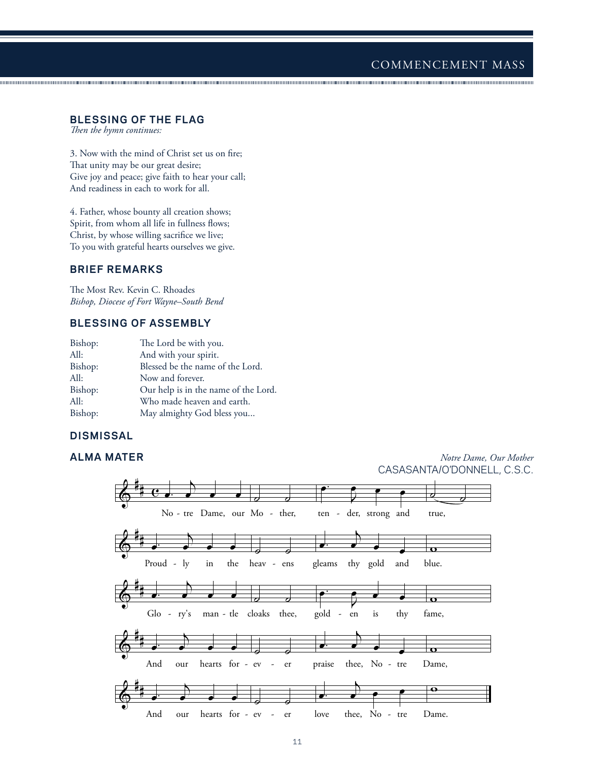### **BLESSING OF THE FLAG**

*Then the hymn continues:*

3. Now with the mind of Christ set us on fire; That unity may be our great desire; Give joy and peace; give faith to hear your call; And readiness in each to work for all.

4. Father, whose bounty all creation shows; Spirit, from whom all life in fullness flows; Christ, by whose willing sacrifice we live; To you with grateful hearts ourselves we give.

# **BRIEF REMARKS**

The Most Rev. Kevin C. Rhoades *Bishop, Diocese of Fort Wayne–South Bend*

# **BLESSING OF ASSEMBLY**

| Bishop: | The Lord be with you.                |
|---------|--------------------------------------|
| All:    | And with your spirit.                |
| Bishop: | Blessed be the name of the Lord.     |
| All:    | Now and forever.                     |
| Bishop: | Our help is in the name of the Lord. |
| All:    | Who made heaven and earth.           |
| Bishop: | May almighty God bless you           |

# **DISMISSAL**

**ALMA MATER** *Notre Dame, Our Mother* CASASANTA/O'DONNELL, C.S.C.

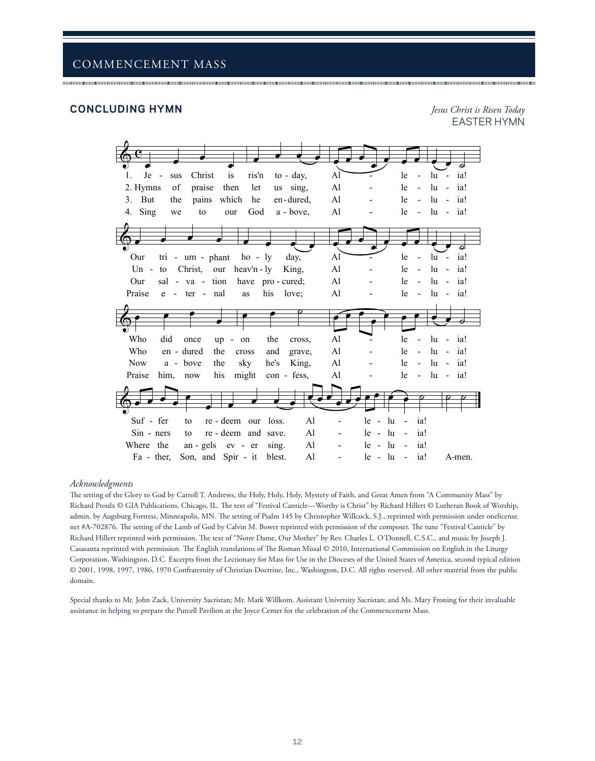### **CONCLUDING HYMN** *Jesus Christ is Risen Today*

EASTER HYMN



### *Acknowledgments*

The setting of the Glory to God by Carroll T. Andrews, the Holy, Holy, Holy, Mystery of Faith, and Great Amen from "A Community Mass" by Richard Proulx © GIA Publications, Chicago, IL. The text of "Festival Canticle—Worthy is Christ" by Richard Hillert © Lutheran Book of Worship, admin. by Augsburg Fortress, Minneapolis, MN. The setting of Psalm 145 by Christopher Willcock, S.J., reprinted with permission under onelicense. net #A-702876. The setting of the Lamb of God by Calvin M. Bower reprinted with permission of the composer. The tune "Festival Canticle" by Richard Hillert reprinted with permission. The text of "Notre Dame, Our Mother" by Rev. Charles L. O'Donnell, C.S.C., and music by Joseph J. Casasanta reprinted with permission. The English translations of The Roman Missal © 2010, International Commission on English in the Liturgy Corporation, Washington, D.C. Excerpts from the Lectionary for Mass for Use in the Dioceses of the United States of America, second typical edition © 2001, 1998, 1997, 1986, 1970 Confraternity of Christian Doctrine, Inc., Washington, D.C. All rights reserved. All other material from the public domain.

Special thanks to Mr. John Zack, University Sacristan; Mr. Mark Willkom, Assistant University Sacristan; and Ms. Mary Froning for their invaluable assistance in helping to prepare the Purcell Pavilion at the Joyce Center for the celebration of the Commencement Mass.